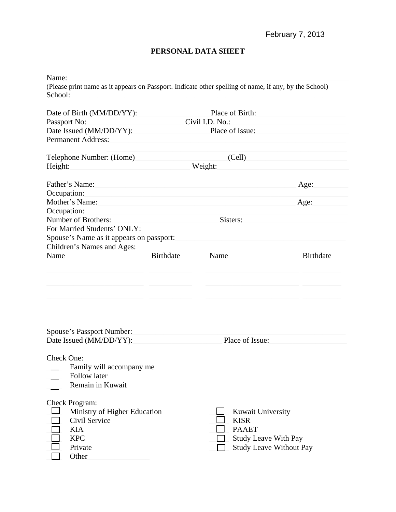## **PERSONAL DATA SHEET**

| Name:                                                                                                                  |                  |                                                                                        |                                |  |  |  |
|------------------------------------------------------------------------------------------------------------------------|------------------|----------------------------------------------------------------------------------------|--------------------------------|--|--|--|
| (Please print name as it appears on Passport. Indicate other spelling of name, if any, by the School)<br>School:       |                  |                                                                                        |                                |  |  |  |
| Date of Birth (MM/DD/YY):                                                                                              |                  | Place of Birth:<br>Civil I.D. No.:                                                     |                                |  |  |  |
| Passport No:                                                                                                           |                  |                                                                                        |                                |  |  |  |
| Date Issued (MM/DD/YY):                                                                                                |                  |                                                                                        |                                |  |  |  |
| <b>Permanent Address:</b>                                                                                              |                  |                                                                                        |                                |  |  |  |
| Telephone Number: (Home)                                                                                               |                  | (Cell)                                                                                 |                                |  |  |  |
| Height:                                                                                                                |                  | Weight:                                                                                |                                |  |  |  |
| Father's Name:                                                                                                         |                  |                                                                                        | Age:                           |  |  |  |
| Occupation:                                                                                                            |                  |                                                                                        |                                |  |  |  |
| Mother's Name:                                                                                                         |                  |                                                                                        | Age:                           |  |  |  |
| Occupation:                                                                                                            |                  |                                                                                        |                                |  |  |  |
| Number of Brothers:                                                                                                    |                  | Sisters:                                                                               |                                |  |  |  |
| For Married Students' ONLY:                                                                                            |                  |                                                                                        |                                |  |  |  |
| Spouse's Name as it appears on passport:                                                                               |                  |                                                                                        |                                |  |  |  |
| Children's Names and Ages:                                                                                             |                  |                                                                                        |                                |  |  |  |
| Name                                                                                                                   | <b>Birthdate</b> | Name                                                                                   | <b>Birthdate</b>               |  |  |  |
|                                                                                                                        |                  |                                                                                        |                                |  |  |  |
| <b>Spouse's Passport Number:</b><br>Date Issued (MM/DD/YY):                                                            |                  | Place of Issue:                                                                        |                                |  |  |  |
| Check One:<br>Family will accompany me<br>Follow later<br>Remain in Kuwait                                             |                  |                                                                                        |                                |  |  |  |
| <b>Check Program:</b><br>Ministry of Higher Education<br>Civil Service<br><b>KIA</b><br><b>KPC</b><br>Private<br>Other |                  | <b>Kuwait University</b><br><b>KISR</b><br><b>PAAET</b><br><b>Study Leave With Pay</b> | <b>Study Leave Without Pay</b> |  |  |  |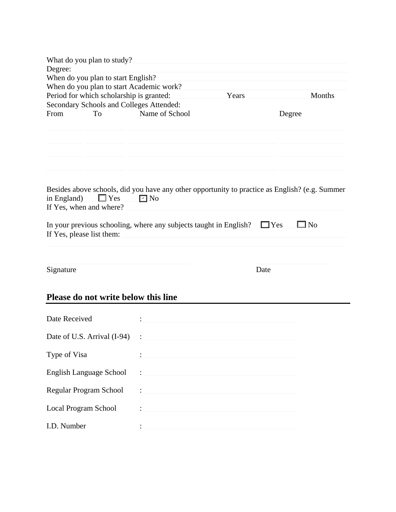| What do you plan to study?                                                                                                                                                                                                  |                |            |           |
|-----------------------------------------------------------------------------------------------------------------------------------------------------------------------------------------------------------------------------|----------------|------------|-----------|
| Degree:                                                                                                                                                                                                                     |                |            |           |
| When do you plan to start English?                                                                                                                                                                                          |                |            |           |
| When do you plan to start Academic work?<br>Period for which scholarship is granted:                                                                                                                                        |                | Months     |           |
| Secondary Schools and Colleges Attended:                                                                                                                                                                                    | Years          |            |           |
| From<br><b>To</b>                                                                                                                                                                                                           | Name of School |            | Degree    |
| Besides above schools, did you have any other opportunity to practice as English? (e.g. Summer<br>in England)<br>$\Box$ Yes<br>If Yes, when and where?<br>In your previous schooling, where any subjects taught in English? | $\square$ No   | $\Box$ Yes | $\Box$ No |
| If Yes, please list them:                                                                                                                                                                                                   |                |            |           |
| Signature                                                                                                                                                                                                                   |                | Date       |           |
| Please do not write below this line                                                                                                                                                                                         |                |            |           |
| Date Received                                                                                                                                                                                                               |                |            |           |
| Date of U.S. Arrival (I-94)                                                                                                                                                                                                 |                |            |           |
| Type of Visa                                                                                                                                                                                                                |                |            |           |
| English Language School                                                                                                                                                                                                     |                |            |           |
| Regular Program School                                                                                                                                                                                                      |                |            |           |
| Local Program School                                                                                                                                                                                                        |                |            |           |

I.D. Number : \_\_\_\_\_\_\_\_\_\_\_\_\_\_\_\_\_\_\_\_\_\_\_\_\_\_\_\_\_\_\_\_\_\_\_\_\_\_\_